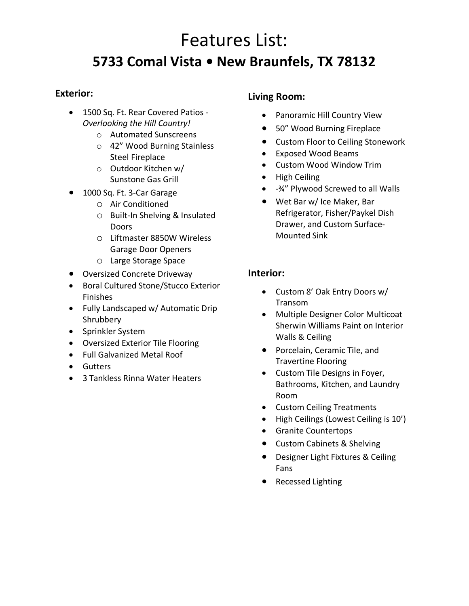# Features List:

### **5733 Comal Vista • New Braunfels, TX 78132**

### **Exterior:**

- 1500 Sq. Ft. Rear Covered Patios *Overlooking the Hill Country!*
	- o Automated Sunscreens
	- o 42" Wood Burning Stainless Steel Fireplace
	- o Outdoor Kitchen w/ Sunstone Gas Grill
- 1000 Sq. Ft. 3-Car Garage
	- o Air Conditioned
	- o Built-In Shelving & Insulated **Doors**
	- o Liftmaster 8850W Wireless Garage Door Openers
	- o Large Storage Space
- Oversized Concrete Driveway
- Boral Cultured Stone/Stucco Exterior Finishes
- Fully Landscaped w/ Automatic Drip Shrubbery
- Sprinkler System
- Oversized Exterior Tile Flooring
- Full Galvanized Metal Roof
- Gutters
- 3 Tankless Rinna Water Heaters

### **Living Room:**

- Panoramic Hill Country View
- 50" Wood Burning Fireplace
- Custom Floor to Ceiling Stonework
- Exposed Wood Beams
- Custom Wood Window Trim
- High Ceiling
- -¾" Plywood Screwed to all Walls
- Wet Bar w/ Ice Maker, Bar Refrigerator, Fisher/Paykel Dish Drawer, and Custom Surface-Mounted Sink

### **Interior:**

- Custom 8' Oak Entry Doors w/ Transom
- Multiple Designer Color Multicoat Sherwin Williams Paint on Interior Walls & Ceiling
- Porcelain, Ceramic Tile, and Travertine Flooring
- Custom Tile Designs in Foyer, Bathrooms, Kitchen, and Laundry Room
- Custom Ceiling Treatments
- High Ceilings (Lowest Ceiling is 10')
- Granite Countertops
- Custom Cabinets & Shelving
- Designer Light Fixtures & Ceiling Fans
- Recessed Lighting